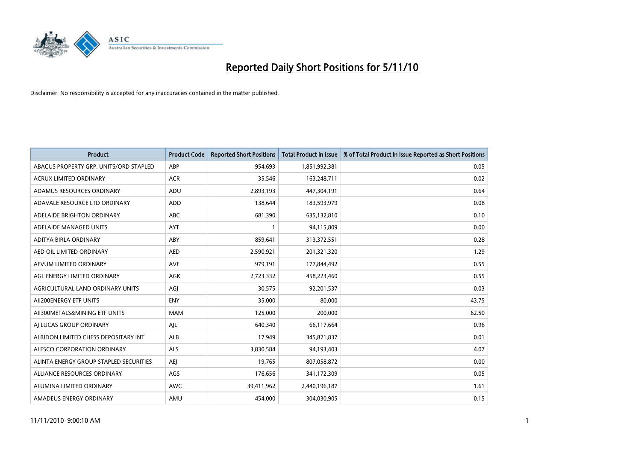

| <b>Product</b>                         | <b>Product Code</b> | <b>Reported Short Positions</b> | <b>Total Product in Issue</b> | % of Total Product in Issue Reported as Short Positions |
|----------------------------------------|---------------------|---------------------------------|-------------------------------|---------------------------------------------------------|
| ABACUS PROPERTY GRP. UNITS/ORD STAPLED | ABP                 | 954,693                         | 1,851,992,381                 | 0.05                                                    |
| <b>ACRUX LIMITED ORDINARY</b>          | <b>ACR</b>          | 35,546                          | 163,248,711                   | 0.02                                                    |
| ADAMUS RESOURCES ORDINARY              | ADU                 | 2,893,193                       | 447,304,191                   | 0.64                                                    |
| ADAVALE RESOURCE LTD ORDINARY          | <b>ADD</b>          | 138,644                         | 183,593,979                   | 0.08                                                    |
| ADELAIDE BRIGHTON ORDINARY             | <b>ABC</b>          | 681,390                         | 635,132,810                   | 0.10                                                    |
| ADELAIDE MANAGED UNITS                 | <b>AYT</b>          |                                 | 94,115,809                    | 0.00                                                    |
| ADITYA BIRLA ORDINARY                  | ABY                 | 859.641                         | 313,372,551                   | 0.28                                                    |
| AED OIL LIMITED ORDINARY               | <b>AED</b>          | 2,590,921                       | 201,321,320                   | 1.29                                                    |
| AEVUM LIMITED ORDINARY                 | <b>AVE</b>          | 979,191                         | 177,844,492                   | 0.55                                                    |
| AGL ENERGY LIMITED ORDINARY            | <b>AGK</b>          | 2,723,332                       | 458,223,460                   | 0.55                                                    |
| AGRICULTURAL LAND ORDINARY UNITS       | AGJ                 | 30,575                          | 92,201,537                    | 0.03                                                    |
| AII200ENERGY ETF UNITS                 | <b>ENY</b>          | 35,000                          | 80,000                        | 43.75                                                   |
| AII300METALS&MINING ETF UNITS          | <b>MAM</b>          | 125,000                         | 200,000                       | 62.50                                                   |
| AI LUCAS GROUP ORDINARY                | AJL                 | 640.340                         | 66,117,664                    | 0.96                                                    |
| ALBIDON LIMITED CHESS DEPOSITARY INT   | ALB                 | 17,949                          | 345,821,837                   | 0.01                                                    |
| ALESCO CORPORATION ORDINARY            | <b>ALS</b>          | 3,830,584                       | 94,193,403                    | 4.07                                                    |
| ALINTA ENERGY GROUP STAPLED SECURITIES | <b>AEI</b>          | 19,765                          | 807,058,872                   | 0.00                                                    |
| ALLIANCE RESOURCES ORDINARY            | AGS                 | 176,656                         | 341,172,309                   | 0.05                                                    |
| ALUMINA LIMITED ORDINARY               | <b>AWC</b>          | 39,411,962                      | 2,440,196,187                 | 1.61                                                    |
| AMADEUS ENERGY ORDINARY                | AMU                 | 454.000                         | 304,030,905                   | 0.15                                                    |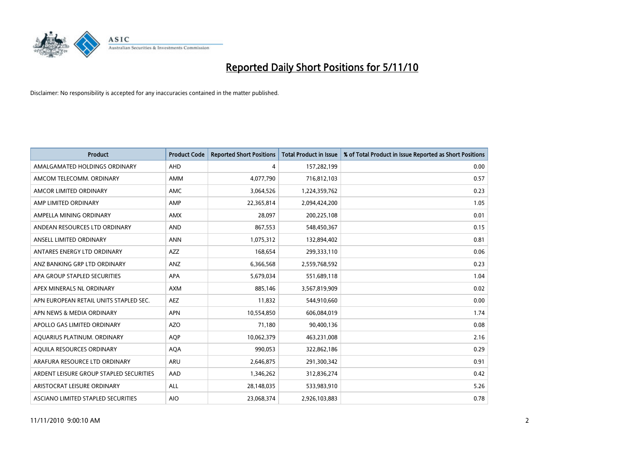

| <b>Product</b>                          | <b>Product Code</b> | <b>Reported Short Positions</b> | <b>Total Product in Issue</b> | % of Total Product in Issue Reported as Short Positions |
|-----------------------------------------|---------------------|---------------------------------|-------------------------------|---------------------------------------------------------|
| AMALGAMATED HOLDINGS ORDINARY           | <b>AHD</b>          | 4                               | 157,282,199                   | 0.00                                                    |
| AMCOM TELECOMM. ORDINARY                | AMM                 | 4,077,790                       | 716,812,103                   | 0.57                                                    |
| AMCOR LIMITED ORDINARY                  | AMC                 | 3,064,526                       | 1,224,359,762                 | 0.23                                                    |
| AMP LIMITED ORDINARY                    | AMP                 | 22,365,814                      | 2,094,424,200                 | 1.05                                                    |
| AMPELLA MINING ORDINARY                 | <b>AMX</b>          | 28,097                          | 200,225,108                   | 0.01                                                    |
| ANDEAN RESOURCES LTD ORDINARY           | <b>AND</b>          | 867,553                         | 548,450,367                   | 0.15                                                    |
| ANSELL LIMITED ORDINARY                 | <b>ANN</b>          | 1,075,312                       | 132,894,402                   | 0.81                                                    |
| ANTARES ENERGY LTD ORDINARY             | <b>AZZ</b>          | 168,654                         | 299,333,110                   | 0.06                                                    |
| ANZ BANKING GRP LTD ORDINARY            | <b>ANZ</b>          | 6,366,568                       | 2,559,768,592                 | 0.23                                                    |
| APA GROUP STAPLED SECURITIES            | <b>APA</b>          | 5,679,034                       | 551,689,118                   | 1.04                                                    |
| APEX MINERALS NL ORDINARY               | <b>AXM</b>          | 885,146                         | 3,567,819,909                 | 0.02                                                    |
| APN EUROPEAN RETAIL UNITS STAPLED SEC.  | <b>AEZ</b>          | 11,832                          | 544,910,660                   | 0.00                                                    |
| APN NEWS & MEDIA ORDINARY               | <b>APN</b>          | 10,554,850                      | 606,084,019                   | 1.74                                                    |
| APOLLO GAS LIMITED ORDINARY             | <b>AZO</b>          | 71,180                          | 90,400,136                    | 0.08                                                    |
| AQUARIUS PLATINUM. ORDINARY             | <b>AOP</b>          | 10,062,379                      | 463,231,008                   | 2.16                                                    |
| AQUILA RESOURCES ORDINARY               | <b>AQA</b>          | 990,053                         | 322,862,186                   | 0.29                                                    |
| ARAFURA RESOURCE LTD ORDINARY           | ARU                 | 2,646,875                       | 291,300,342                   | 0.91                                                    |
| ARDENT LEISURE GROUP STAPLED SECURITIES | AAD                 | 1,346,262                       | 312,836,274                   | 0.42                                                    |
| ARISTOCRAT LEISURE ORDINARY             | <b>ALL</b>          | 28,148,035                      | 533,983,910                   | 5.26                                                    |
| ASCIANO LIMITED STAPLED SECURITIES      | <b>AIO</b>          | 23,068,374                      | 2,926,103,883                 | 0.78                                                    |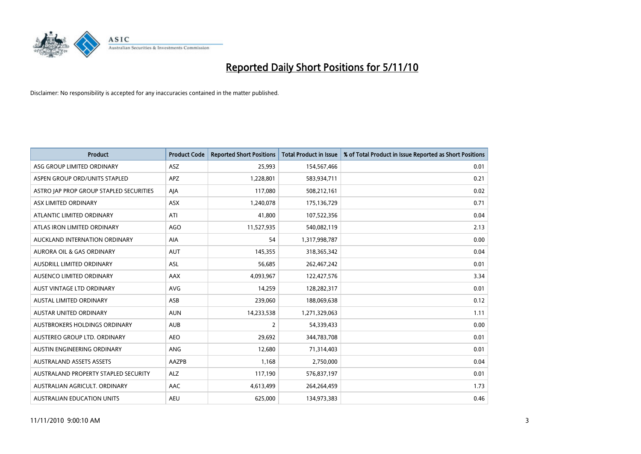

| <b>Product</b>                          | <b>Product Code</b> | <b>Reported Short Positions</b> | <b>Total Product in Issue</b> | % of Total Product in Issue Reported as Short Positions |
|-----------------------------------------|---------------------|---------------------------------|-------------------------------|---------------------------------------------------------|
| ASG GROUP LIMITED ORDINARY              | ASZ                 | 25,993                          | 154,567,466                   | 0.01                                                    |
| ASPEN GROUP ORD/UNITS STAPLED           | <b>APZ</b>          | 1,228,801                       | 583,934,711                   | 0.21                                                    |
| ASTRO JAP PROP GROUP STAPLED SECURITIES | AJA                 | 117,080                         | 508,212,161                   | 0.02                                                    |
| ASX LIMITED ORDINARY                    | <b>ASX</b>          | 1,240,078                       | 175,136,729                   | 0.71                                                    |
| ATLANTIC LIMITED ORDINARY               | ATI                 | 41,800                          | 107,522,356                   | 0.04                                                    |
| ATLAS IRON LIMITED ORDINARY             | <b>AGO</b>          | 11,527,935                      | 540,082,119                   | 2.13                                                    |
| AUCKLAND INTERNATION ORDINARY           | AIA                 | 54                              | 1,317,998,787                 | 0.00                                                    |
| AURORA OIL & GAS ORDINARY               | <b>AUT</b>          | 145,355                         | 318,365,342                   | 0.04                                                    |
| AUSDRILL LIMITED ORDINARY               | <b>ASL</b>          | 56,685                          | 262,467,242                   | 0.01                                                    |
| AUSENCO LIMITED ORDINARY                | AAX                 | 4,093,967                       | 122,427,576                   | 3.34                                                    |
| AUST VINTAGE LTD ORDINARY               | <b>AVG</b>          | 14,259                          | 128,282,317                   | 0.01                                                    |
| <b>AUSTAL LIMITED ORDINARY</b>          | ASB                 | 239,060                         | 188,069,638                   | 0.12                                                    |
| <b>AUSTAR UNITED ORDINARY</b>           | <b>AUN</b>          | 14,233,538                      | 1,271,329,063                 | 1.11                                                    |
| <b>AUSTBROKERS HOLDINGS ORDINARY</b>    | <b>AUB</b>          | $\overline{2}$                  | 54,339,433                    | 0.00                                                    |
| AUSTEREO GROUP LTD. ORDINARY            | <b>AEO</b>          | 29,692                          | 344,783,708                   | 0.01                                                    |
| AUSTIN ENGINEERING ORDINARY             | ANG                 | 12,680                          | 71,314,403                    | 0.01                                                    |
| <b>AUSTRALAND ASSETS ASSETS</b>         | AAZPB               | 1,168                           | 2,750,000                     | 0.04                                                    |
| AUSTRALAND PROPERTY STAPLED SECURITY    | <b>ALZ</b>          | 117,190                         | 576,837,197                   | 0.01                                                    |
| AUSTRALIAN AGRICULT, ORDINARY           | AAC                 | 4,613,499                       | 264,264,459                   | 1.73                                                    |
| <b>AUSTRALIAN EDUCATION UNITS</b>       | <b>AEU</b>          | 625.000                         | 134,973,383                   | 0.46                                                    |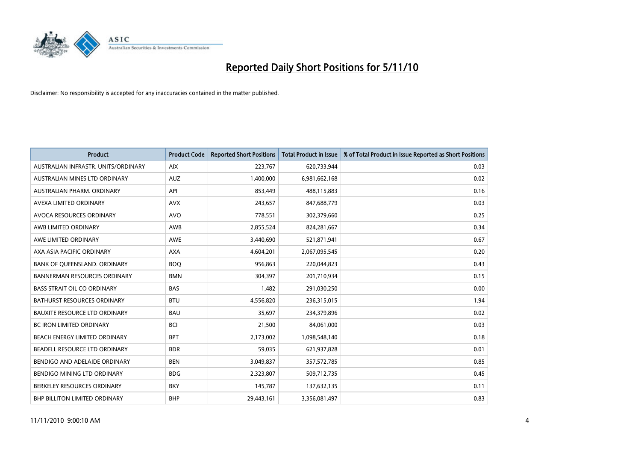

| <b>Product</b>                       | <b>Product Code</b> | <b>Reported Short Positions</b> | <b>Total Product in Issue</b> | % of Total Product in Issue Reported as Short Positions |
|--------------------------------------|---------------------|---------------------------------|-------------------------------|---------------------------------------------------------|
| AUSTRALIAN INFRASTR, UNITS/ORDINARY  | <b>AIX</b>          | 223,767                         | 620,733,944                   | 0.03                                                    |
| AUSTRALIAN MINES LTD ORDINARY        | <b>AUZ</b>          | 1,400,000                       | 6,981,662,168                 | 0.02                                                    |
| AUSTRALIAN PHARM, ORDINARY           | API                 | 853,449                         | 488,115,883                   | 0.16                                                    |
| AVEXA LIMITED ORDINARY               | <b>AVX</b>          | 243,657                         | 847,688,779                   | 0.03                                                    |
| <b>AVOCA RESOURCES ORDINARY</b>      | <b>AVO</b>          | 778,551                         | 302,379,660                   | 0.25                                                    |
| AWB LIMITED ORDINARY                 | <b>AWB</b>          | 2,855,524                       | 824,281,667                   | 0.34                                                    |
| AWE LIMITED ORDINARY                 | <b>AWE</b>          | 3,440,690                       | 521,871,941                   | 0.67                                                    |
| AXA ASIA PACIFIC ORDINARY            | <b>AXA</b>          | 4,604,201                       | 2,067,095,545                 | 0.20                                                    |
| BANK OF QUEENSLAND. ORDINARY         | <b>BOO</b>          | 956,863                         | 220,044,823                   | 0.43                                                    |
| <b>BANNERMAN RESOURCES ORDINARY</b>  | <b>BMN</b>          | 304,397                         | 201,710,934                   | 0.15                                                    |
| <b>BASS STRAIT OIL CO ORDINARY</b>   | <b>BAS</b>          | 1,482                           | 291,030,250                   | 0.00                                                    |
| <b>BATHURST RESOURCES ORDINARY</b>   | <b>BTU</b>          | 4,556,820                       | 236,315,015                   | 1.94                                                    |
| <b>BAUXITE RESOURCE LTD ORDINARY</b> | <b>BAU</b>          | 35,697                          | 234,379,896                   | 0.02                                                    |
| <b>BC IRON LIMITED ORDINARY</b>      | <b>BCI</b>          | 21,500                          | 84,061,000                    | 0.03                                                    |
| BEACH ENERGY LIMITED ORDINARY        | <b>BPT</b>          | 2,173,002                       | 1,098,548,140                 | 0.18                                                    |
| BEADELL RESOURCE LTD ORDINARY        | <b>BDR</b>          | 59,035                          | 621,937,828                   | 0.01                                                    |
| BENDIGO AND ADELAIDE ORDINARY        | <b>BEN</b>          | 3,049,837                       | 357,572,785                   | 0.85                                                    |
| BENDIGO MINING LTD ORDINARY          | <b>BDG</b>          | 2,323,807                       | 509,712,735                   | 0.45                                                    |
| BERKELEY RESOURCES ORDINARY          | <b>BKY</b>          | 145,787                         | 137,632,135                   | 0.11                                                    |
| <b>BHP BILLITON LIMITED ORDINARY</b> | <b>BHP</b>          | 29.443.161                      | 3,356,081,497                 | 0.83                                                    |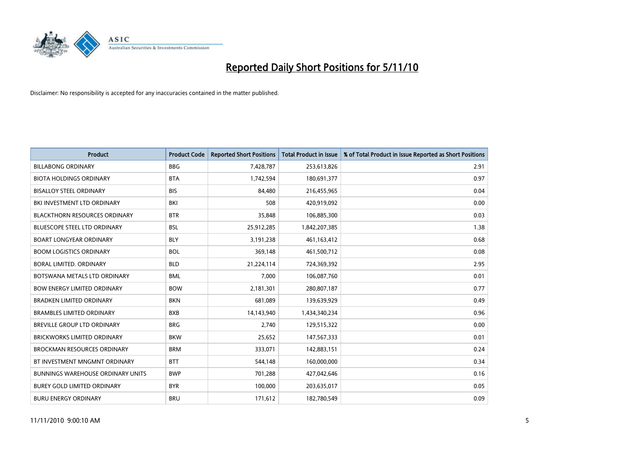

| <b>Product</b>                       | <b>Product Code</b> | <b>Reported Short Positions</b> | <b>Total Product in Issue</b> | % of Total Product in Issue Reported as Short Positions |
|--------------------------------------|---------------------|---------------------------------|-------------------------------|---------------------------------------------------------|
| <b>BILLABONG ORDINARY</b>            | <b>BBG</b>          | 7,428,787                       | 253,613,826                   | 2.91                                                    |
| <b>BIOTA HOLDINGS ORDINARY</b>       | <b>BTA</b>          | 1,742,594                       | 180,691,377                   | 0.97                                                    |
| <b>BISALLOY STEEL ORDINARY</b>       | <b>BIS</b>          | 84,480                          | 216,455,965                   | 0.04                                                    |
| BKI INVESTMENT LTD ORDINARY          | BKI                 | 508                             | 420,919,092                   | 0.00                                                    |
| <b>BLACKTHORN RESOURCES ORDINARY</b> | <b>BTR</b>          | 35,848                          | 106,885,300                   | 0.03                                                    |
| <b>BLUESCOPE STEEL LTD ORDINARY</b>  | <b>BSL</b>          | 25,912,285                      | 1,842,207,385                 | 1.38                                                    |
| BOART LONGYEAR ORDINARY              | <b>BLY</b>          | 3,191,238                       | 461,163,412                   | 0.68                                                    |
| <b>BOOM LOGISTICS ORDINARY</b>       | <b>BOL</b>          | 369,148                         | 461,500,712                   | 0.08                                                    |
| BORAL LIMITED. ORDINARY              | <b>BLD</b>          | 21,224,114                      | 724,369,392                   | 2.95                                                    |
| BOTSWANA METALS LTD ORDINARY         | <b>BML</b>          | 7.000                           | 106,087,760                   | 0.01                                                    |
| <b>BOW ENERGY LIMITED ORDINARY</b>   | <b>BOW</b>          | 2,181,301                       | 280,807,187                   | 0.77                                                    |
| <b>BRADKEN LIMITED ORDINARY</b>      | <b>BKN</b>          | 681,089                         | 139,639,929                   | 0.49                                                    |
| <b>BRAMBLES LIMITED ORDINARY</b>     | <b>BXB</b>          | 14,143,940                      | 1,434,340,234                 | 0.96                                                    |
| BREVILLE GROUP LTD ORDINARY          | <b>BRG</b>          | 2,740                           | 129,515,322                   | 0.00                                                    |
| BRICKWORKS LIMITED ORDINARY          | <b>BKW</b>          | 25,652                          | 147,567,333                   | 0.01                                                    |
| <b>BROCKMAN RESOURCES ORDINARY</b>   | <b>BRM</b>          | 333,071                         | 142,883,151                   | 0.24                                                    |
| BT INVESTMENT MNGMNT ORDINARY        | <b>BTT</b>          | 544,148                         | 160,000,000                   | 0.34                                                    |
| BUNNINGS WAREHOUSE ORDINARY UNITS    | <b>BWP</b>          | 701,288                         | 427,042,646                   | 0.16                                                    |
| <b>BUREY GOLD LIMITED ORDINARY</b>   | <b>BYR</b>          | 100,000                         | 203,635,017                   | 0.05                                                    |
| <b>BURU ENERGY ORDINARY</b>          | <b>BRU</b>          | 171,612                         | 182,780,549                   | 0.09                                                    |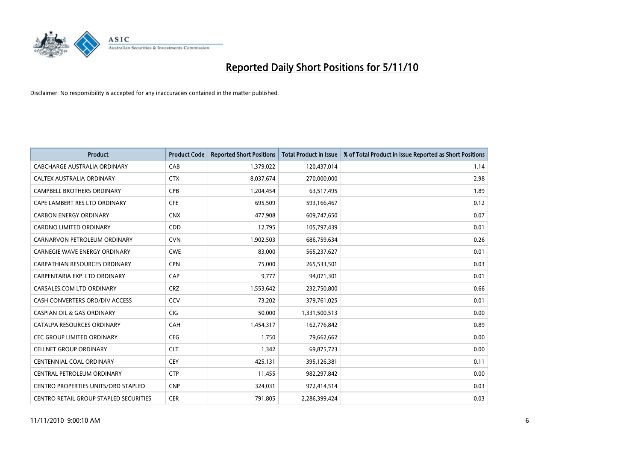

| <b>Product</b>                             | <b>Product Code</b> | <b>Reported Short Positions</b> | <b>Total Product in Issue</b> | % of Total Product in Issue Reported as Short Positions |
|--------------------------------------------|---------------------|---------------------------------|-------------------------------|---------------------------------------------------------|
| <b>CABCHARGE AUSTRALIA ORDINARY</b>        | CAB                 | 1,379,022                       | 120,437,014                   | 1.14                                                    |
| CALTEX AUSTRALIA ORDINARY                  | <b>CTX</b>          | 8,037,674                       | 270,000,000                   | 2.98                                                    |
| <b>CAMPBELL BROTHERS ORDINARY</b>          | CPB                 | 1,204,454                       | 63,517,495                    | 1.89                                                    |
| CAPE LAMBERT RES LTD ORDINARY              | CFE                 | 695,509                         | 593,166,467                   | 0.12                                                    |
| <b>CARBON ENERGY ORDINARY</b>              | <b>CNX</b>          | 477,908                         | 609,747,650                   | 0.07                                                    |
| <b>CARDNO LIMITED ORDINARY</b>             | CDD                 | 12,795                          | 105,797,439                   | 0.01                                                    |
| CARNARVON PETROLEUM ORDINARY               | <b>CVN</b>          | 1,902,503                       | 686,759,634                   | 0.26                                                    |
| <b>CARNEGIE WAVE ENERGY ORDINARY</b>       | <b>CWE</b>          | 83,000                          | 565,237,627                   | 0.01                                                    |
| CARPATHIAN RESOURCES ORDINARY              | <b>CPN</b>          | 75,000                          | 265,533,501                   | 0.03                                                    |
| CARPENTARIA EXP. LTD ORDINARY              | CAP                 | 9,777                           | 94,071,301                    | 0.01                                                    |
| CARSALES.COM LTD ORDINARY                  | <b>CRZ</b>          | 1,553,642                       | 232,750,800                   | 0.66                                                    |
| CASH CONVERTERS ORD/DIV ACCESS             | CCV                 | 73,202                          | 379,761,025                   | 0.01                                                    |
| <b>CASPIAN OIL &amp; GAS ORDINARY</b>      | CIG                 | 50,000                          | 1,331,500,513                 | 0.00                                                    |
| CATALPA RESOURCES ORDINARY                 | CAH                 | 1,454,317                       | 162,776,842                   | 0.89                                                    |
| CEC GROUP LIMITED ORDINARY                 | <b>CEG</b>          | 1,750                           | 79,662,662                    | 0.00                                                    |
| <b>CELLNET GROUP ORDINARY</b>              | <b>CLT</b>          | 1,342                           | 69,875,723                    | 0.00                                                    |
| <b>CENTENNIAL COAL ORDINARY</b>            | CEY                 | 425,131                         | 395,126,381                   | 0.11                                                    |
| CENTRAL PETROLEUM ORDINARY                 | <b>CTP</b>          | 11,455                          | 982,297,842                   | 0.00                                                    |
| <b>CENTRO PROPERTIES UNITS/ORD STAPLED</b> | <b>CNP</b>          | 324,031                         | 972,414,514                   | 0.03                                                    |
| CENTRO RETAIL GROUP STAPLED SECURITIES     | <b>CER</b>          | 791,805                         | 2,286,399,424                 | 0.03                                                    |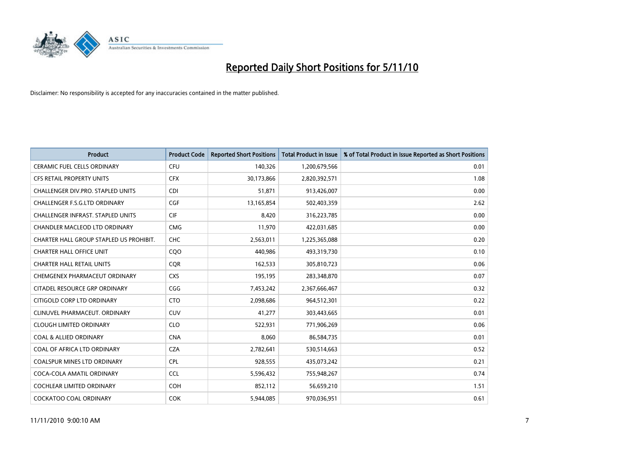

| <b>Product</b>                           | <b>Product Code</b> | <b>Reported Short Positions</b> | Total Product in Issue | % of Total Product in Issue Reported as Short Positions |
|------------------------------------------|---------------------|---------------------------------|------------------------|---------------------------------------------------------|
| <b>CERAMIC FUEL CELLS ORDINARY</b>       | CFU                 | 140,326                         | 1,200,679,566          | 0.01                                                    |
| CFS RETAIL PROPERTY UNITS                | <b>CFX</b>          | 30,173,866                      | 2,820,392,571          | 1.08                                                    |
| CHALLENGER DIV.PRO. STAPLED UNITS        | <b>CDI</b>          | 51,871                          | 913,426,007            | 0.00                                                    |
| <b>CHALLENGER F.S.G.LTD ORDINARY</b>     | CGF                 | 13,165,854                      | 502,403,359            | 2.62                                                    |
| <b>CHALLENGER INFRAST, STAPLED UNITS</b> | <b>CIF</b>          | 8,420                           | 316,223,785            | 0.00                                                    |
| <b>CHANDLER MACLEOD LTD ORDINARY</b>     | <b>CMG</b>          | 11,970                          | 422,031,685            | 0.00                                                    |
| CHARTER HALL GROUP STAPLED US PROHIBIT.  | <b>CHC</b>          | 2,563,011                       | 1,225,365,088          | 0.20                                                    |
| <b>CHARTER HALL OFFICE UNIT</b>          | CQO                 | 440,986                         | 493,319,730            | 0.10                                                    |
| <b>CHARTER HALL RETAIL UNITS</b>         | <b>COR</b>          | 162,533                         | 305,810,723            | 0.06                                                    |
| CHEMGENEX PHARMACEUT ORDINARY            | <b>CXS</b>          | 195,195                         | 283,348,870            | 0.07                                                    |
| CITADEL RESOURCE GRP ORDINARY            | CGG                 | 7,453,242                       | 2,367,666,467          | 0.32                                                    |
| CITIGOLD CORP LTD ORDINARY               | <b>CTO</b>          | 2,098,686                       | 964,512,301            | 0.22                                                    |
| CLINUVEL PHARMACEUT. ORDINARY            | CUV                 | 41,277                          | 303,443,665            | 0.01                                                    |
| <b>CLOUGH LIMITED ORDINARY</b>           | <b>CLO</b>          | 522,931                         | 771,906,269            | 0.06                                                    |
| <b>COAL &amp; ALLIED ORDINARY</b>        | <b>CNA</b>          | 8,060                           | 86,584,735             | 0.01                                                    |
| COAL OF AFRICA LTD ORDINARY              | <b>CZA</b>          | 2,782,641                       | 530,514,663            | 0.52                                                    |
| <b>COALSPUR MINES LTD ORDINARY</b>       | <b>CPL</b>          | 928,555                         | 435,073,242            | 0.21                                                    |
| COCA-COLA AMATIL ORDINARY                | <b>CCL</b>          | 5,596,432                       | 755,948,267            | 0.74                                                    |
| <b>COCHLEAR LIMITED ORDINARY</b>         | <b>COH</b>          | 852,112                         | 56,659,210             | 1.51                                                    |
| COCKATOO COAL ORDINARY                   | <b>COK</b>          | 5,944,085                       | 970,036,951            | 0.61                                                    |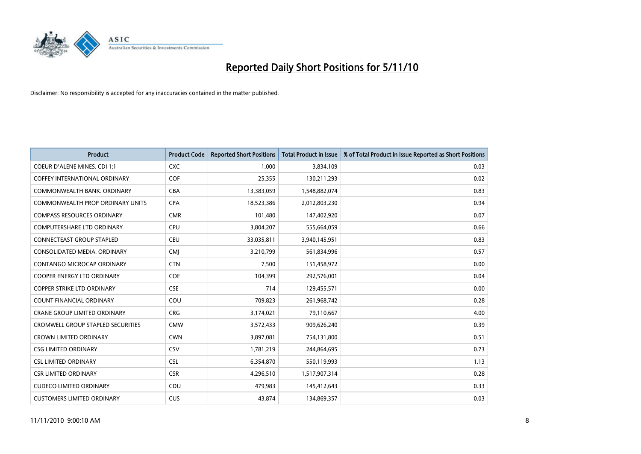

| <b>Product</b>                           | <b>Product Code</b> | <b>Reported Short Positions</b> | Total Product in Issue | % of Total Product in Issue Reported as Short Positions |
|------------------------------------------|---------------------|---------------------------------|------------------------|---------------------------------------------------------|
| <b>COEUR D'ALENE MINES. CDI 1:1</b>      | <b>CXC</b>          | 1,000                           | 3,834,109              | 0.03                                                    |
| COFFEY INTERNATIONAL ORDINARY            | COF                 | 25,355                          | 130,211,293            | 0.02                                                    |
| COMMONWEALTH BANK, ORDINARY              | <b>CBA</b>          | 13,383,059                      | 1,548,882,074          | 0.83                                                    |
| COMMONWEALTH PROP ORDINARY UNITS         | <b>CPA</b>          | 18,523,386                      | 2,012,803,230          | 0.94                                                    |
| <b>COMPASS RESOURCES ORDINARY</b>        | <b>CMR</b>          | 101,480                         | 147,402,920            | 0.07                                                    |
| <b>COMPUTERSHARE LTD ORDINARY</b>        | CPU                 | 3,804,207                       | 555,664,059            | 0.66                                                    |
| <b>CONNECTEAST GROUP STAPLED</b>         | <b>CEU</b>          | 33,035,811                      | 3,940,145,951          | 0.83                                                    |
| CONSOLIDATED MEDIA, ORDINARY             | <b>CMJ</b>          | 3,210,799                       | 561,834,996            | 0.57                                                    |
| CONTANGO MICROCAP ORDINARY               | <b>CTN</b>          | 7,500                           | 151,458,972            | 0.00                                                    |
| <b>COOPER ENERGY LTD ORDINARY</b>        | <b>COE</b>          | 104,399                         | 292,576,001            | 0.04                                                    |
| <b>COPPER STRIKE LTD ORDINARY</b>        | <b>CSE</b>          | 714                             | 129,455,571            | 0.00                                                    |
| <b>COUNT FINANCIAL ORDINARY</b>          | COU                 | 709,823                         | 261,968,742            | 0.28                                                    |
| <b>CRANE GROUP LIMITED ORDINARY</b>      | <b>CRG</b>          | 3,174,021                       | 79,110,667             | 4.00                                                    |
| <b>CROMWELL GROUP STAPLED SECURITIES</b> | <b>CMW</b>          | 3,572,433                       | 909,626,240            | 0.39                                                    |
| <b>CROWN LIMITED ORDINARY</b>            | <b>CWN</b>          | 3,897,081                       | 754,131,800            | 0.51                                                    |
| <b>CSG LIMITED ORDINARY</b>              | CSV                 | 1,781,219                       | 244,864,695            | 0.73                                                    |
| <b>CSL LIMITED ORDINARY</b>              | <b>CSL</b>          | 6,354,870                       | 550,119,993            | 1.13                                                    |
| <b>CSR LIMITED ORDINARY</b>              | <b>CSR</b>          | 4,296,510                       | 1,517,907,314          | 0.28                                                    |
| <b>CUDECO LIMITED ORDINARY</b>           | CDU                 | 479,983                         | 145,412,643            | 0.33                                                    |
| <b>CUSTOMERS LIMITED ORDINARY</b>        | CUS                 | 43.874                          | 134,869,357            | 0.03                                                    |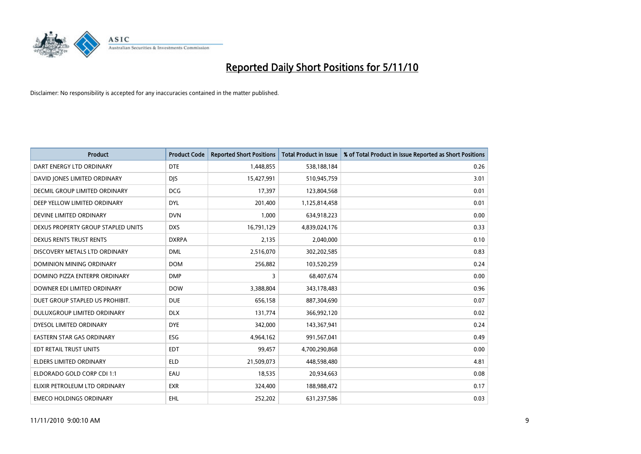

| <b>Product</b>                       | <b>Product Code</b> | <b>Reported Short Positions</b> | Total Product in Issue | % of Total Product in Issue Reported as Short Positions |
|--------------------------------------|---------------------|---------------------------------|------------------------|---------------------------------------------------------|
| DART ENERGY LTD ORDINARY             | <b>DTE</b>          | 1,448,855                       | 538,188,184            | 0.26                                                    |
| DAVID JONES LIMITED ORDINARY         | <b>DIS</b>          | 15,427,991                      | 510,945,759            | 3.01                                                    |
| <b>DECMIL GROUP LIMITED ORDINARY</b> | <b>DCG</b>          | 17,397                          | 123,804,568            | 0.01                                                    |
| DEEP YELLOW LIMITED ORDINARY         | <b>DYL</b>          | 201,400                         | 1,125,814,458          | 0.01                                                    |
| DEVINE LIMITED ORDINARY              | <b>DVN</b>          | 1,000                           | 634,918,223            | 0.00                                                    |
| DEXUS PROPERTY GROUP STAPLED UNITS   | <b>DXS</b>          | 16,791,129                      | 4,839,024,176          | 0.33                                                    |
| <b>DEXUS RENTS TRUST RENTS</b>       | <b>DXRPA</b>        | 2,135                           | 2,040,000              | 0.10                                                    |
| DISCOVERY METALS LTD ORDINARY        | <b>DML</b>          | 2,516,070                       | 302,202,585            | 0.83                                                    |
| DOMINION MINING ORDINARY             | <b>DOM</b>          | 256,882                         | 103,520,259            | 0.24                                                    |
| DOMINO PIZZA ENTERPR ORDINARY        | <b>DMP</b>          | 3                               | 68,407,674             | 0.00                                                    |
| DOWNER EDI LIMITED ORDINARY          | <b>DOW</b>          | 3,388,804                       | 343,178,483            | 0.96                                                    |
| DUET GROUP STAPLED US PROHIBIT.      | <b>DUE</b>          | 656,158                         | 887,304,690            | 0.07                                                    |
| DULUXGROUP LIMITED ORDINARY          | <b>DLX</b>          | 131,774                         | 366,992,120            | 0.02                                                    |
| DYESOL LIMITED ORDINARY              | <b>DYE</b>          | 342,000                         | 143,367,941            | 0.24                                                    |
| <b>EASTERN STAR GAS ORDINARY</b>     | ESG                 | 4,964,162                       | 991,567,041            | 0.49                                                    |
| EDT RETAIL TRUST UNITS               | <b>EDT</b>          | 99,457                          | 4,700,290,868          | 0.00                                                    |
| <b>ELDERS LIMITED ORDINARY</b>       | <b>ELD</b>          | 21,509,073                      | 448,598,480            | 4.81                                                    |
| ELDORADO GOLD CORP CDI 1:1           | EAU                 | 18,535                          | 20,934,663             | 0.08                                                    |
| ELIXIR PETROLEUM LTD ORDINARY        | <b>EXR</b>          | 324,400                         | 188,988,472            | 0.17                                                    |
| <b>EMECO HOLDINGS ORDINARY</b>       | <b>EHL</b>          | 252,202                         | 631,237,586            | 0.03                                                    |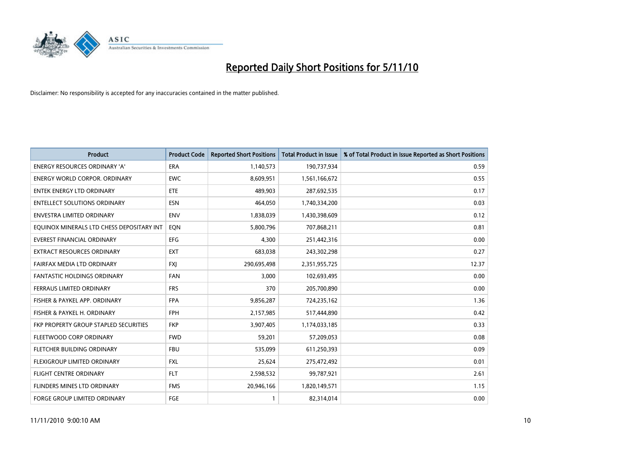

| <b>Product</b>                            | <b>Product Code</b> | <b>Reported Short Positions</b> | Total Product in Issue | % of Total Product in Issue Reported as Short Positions |
|-------------------------------------------|---------------------|---------------------------------|------------------------|---------------------------------------------------------|
| <b>ENERGY RESOURCES ORDINARY 'A'</b>      | <b>ERA</b>          | 1,140,573                       | 190,737,934            | 0.59                                                    |
| ENERGY WORLD CORPOR. ORDINARY             | <b>EWC</b>          | 8,609,951                       | 1,561,166,672          | 0.55                                                    |
| <b>ENTEK ENERGY LTD ORDINARY</b>          | <b>ETE</b>          | 489,903                         | 287,692,535            | 0.17                                                    |
| <b>ENTELLECT SOLUTIONS ORDINARY</b>       | <b>ESN</b>          | 464,050                         | 1,740,334,200          | 0.03                                                    |
| <b>ENVESTRA LIMITED ORDINARY</b>          | <b>ENV</b>          | 1,838,039                       | 1,430,398,609          | 0.12                                                    |
| EQUINOX MINERALS LTD CHESS DEPOSITARY INT | EQN                 | 5,800,796                       | 707,868,211            | 0.81                                                    |
| <b>EVEREST FINANCIAL ORDINARY</b>         | <b>EFG</b>          | 4,300                           | 251,442,316            | 0.00                                                    |
| EXTRACT RESOURCES ORDINARY                | <b>EXT</b>          | 683,038                         | 243,302,298            | 0.27                                                    |
| FAIRFAX MEDIA LTD ORDINARY                | <b>FXI</b>          | 290,695,498                     | 2,351,955,725          | 12.37                                                   |
| <b>FANTASTIC HOLDINGS ORDINARY</b>        | <b>FAN</b>          | 3,000                           | 102,693,495            | 0.00                                                    |
| FERRAUS LIMITED ORDINARY                  | <b>FRS</b>          | 370                             | 205,700,890            | 0.00                                                    |
| FISHER & PAYKEL APP. ORDINARY             | <b>FPA</b>          | 9,856,287                       | 724,235,162            | 1.36                                                    |
| FISHER & PAYKEL H. ORDINARY               | <b>FPH</b>          | 2,157,985                       | 517,444,890            | 0.42                                                    |
| FKP PROPERTY GROUP STAPLED SECURITIES     | <b>FKP</b>          | 3,907,405                       | 1,174,033,185          | 0.33                                                    |
| FLEETWOOD CORP ORDINARY                   | <b>FWD</b>          | 59,201                          | 57,209,053             | 0.08                                                    |
| FLETCHER BUILDING ORDINARY                | <b>FBU</b>          | 535,099                         | 611,250,393            | 0.09                                                    |
| FLEXIGROUP LIMITED ORDINARY               | <b>FXL</b>          | 25,624                          | 275,472,492            | 0.01                                                    |
| <b>FLIGHT CENTRE ORDINARY</b>             | <b>FLT</b>          | 2,598,532                       | 99,787,921             | 2.61                                                    |
| <b>FLINDERS MINES LTD ORDINARY</b>        | <b>FMS</b>          | 20,946,166                      | 1,820,149,571          | 1.15                                                    |
| <b>FORGE GROUP LIMITED ORDINARY</b>       | <b>FGE</b>          |                                 | 82,314,014             | 0.00                                                    |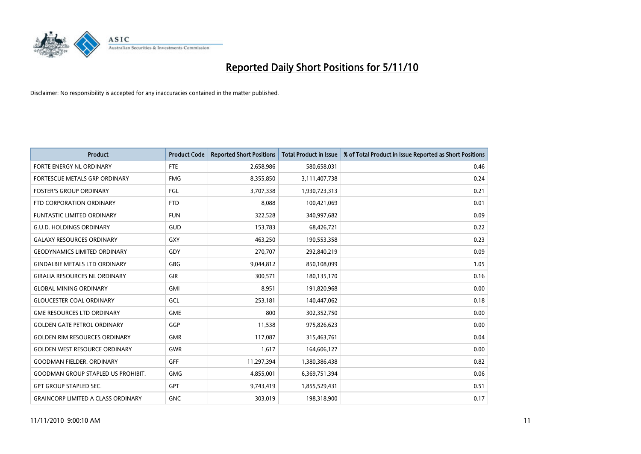

| <b>Product</b>                            | <b>Product Code</b> | <b>Reported Short Positions</b> | Total Product in Issue | % of Total Product in Issue Reported as Short Positions |
|-------------------------------------------|---------------------|---------------------------------|------------------------|---------------------------------------------------------|
| FORTE ENERGY NL ORDINARY                  | <b>FTE</b>          | 2,658,986                       | 580,658,031            | 0.46                                                    |
| FORTESCUE METALS GRP ORDINARY             | <b>FMG</b>          | 8,355,850                       | 3,111,407,738          | 0.24                                                    |
| <b>FOSTER'S GROUP ORDINARY</b>            | FGL                 | 3,707,338                       | 1,930,723,313          | 0.21                                                    |
| FTD CORPORATION ORDINARY                  | <b>FTD</b>          | 8,088                           | 100,421,069            | 0.01                                                    |
| <b>FUNTASTIC LIMITED ORDINARY</b>         | <b>FUN</b>          | 322,528                         | 340,997,682            | 0.09                                                    |
| <b>G.U.D. HOLDINGS ORDINARY</b>           | <b>GUD</b>          | 153,783                         | 68,426,721             | 0.22                                                    |
| <b>GALAXY RESOURCES ORDINARY</b>          | <b>GXY</b>          | 463,250                         | 190,553,358            | 0.23                                                    |
| <b>GEODYNAMICS LIMITED ORDINARY</b>       | GDY                 | 270,707                         | 292,840,219            | 0.09                                                    |
| <b>GINDALBIE METALS LTD ORDINARY</b>      | <b>GBG</b>          | 9,044,812                       | 850,108,099            | 1.05                                                    |
| <b>GIRALIA RESOURCES NL ORDINARY</b>      | GIR                 | 300,571                         | 180,135,170            | 0.16                                                    |
| <b>GLOBAL MINING ORDINARY</b>             | <b>GMI</b>          | 8,951                           | 191,820,968            | 0.00                                                    |
| <b>GLOUCESTER COAL ORDINARY</b>           | GCL                 | 253,181                         | 140,447,062            | 0.18                                                    |
| <b>GME RESOURCES LTD ORDINARY</b>         | <b>GME</b>          | 800                             | 302,352,750            | 0.00                                                    |
| <b>GOLDEN GATE PETROL ORDINARY</b>        | GGP                 | 11,538                          | 975,826,623            | 0.00                                                    |
| <b>GOLDEN RIM RESOURCES ORDINARY</b>      | <b>GMR</b>          | 117,087                         | 315,463,761            | 0.04                                                    |
| <b>GOLDEN WEST RESOURCE ORDINARY</b>      | <b>GWR</b>          | 1,617                           | 164,606,127            | 0.00                                                    |
| <b>GOODMAN FIELDER, ORDINARY</b>          | GFF                 | 11,297,394                      | 1,380,386,438          | 0.82                                                    |
| <b>GOODMAN GROUP STAPLED US PROHIBIT.</b> | <b>GMG</b>          | 4,855,001                       | 6,369,751,394          | 0.06                                                    |
| <b>GPT GROUP STAPLED SEC.</b>             | <b>GPT</b>          | 9,743,419                       | 1,855,529,431          | 0.51                                                    |
| <b>GRAINCORP LIMITED A CLASS ORDINARY</b> | <b>GNC</b>          | 303,019                         | 198,318,900            | 0.17                                                    |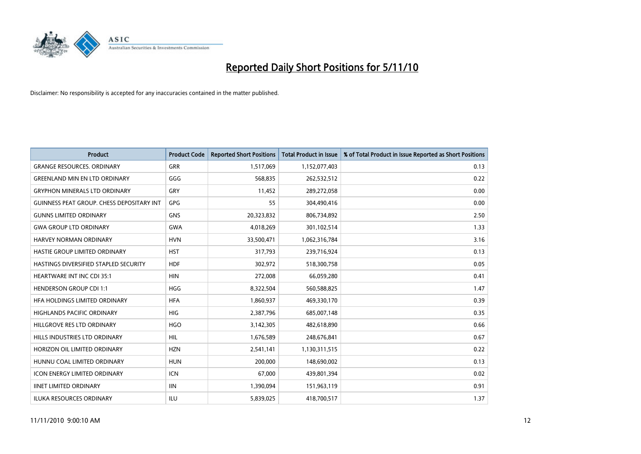

| <b>Product</b>                            | <b>Product Code</b> | <b>Reported Short Positions</b> | <b>Total Product in Issue</b> | % of Total Product in Issue Reported as Short Positions |
|-------------------------------------------|---------------------|---------------------------------|-------------------------------|---------------------------------------------------------|
| <b>GRANGE RESOURCES, ORDINARY</b>         | GRR                 | 1,517,069                       | 1,152,077,403                 | 0.13                                                    |
| <b>GREENLAND MIN EN LTD ORDINARY</b>      | GGG                 | 568,835                         | 262,532,512                   | 0.22                                                    |
| <b>GRYPHON MINERALS LTD ORDINARY</b>      | GRY                 | 11,452                          | 289,272,058                   | 0.00                                                    |
| GUINNESS PEAT GROUP. CHESS DEPOSITARY INT | GPG                 | 55                              | 304,490,416                   | 0.00                                                    |
| <b>GUNNS LIMITED ORDINARY</b>             | <b>GNS</b>          | 20,323,832                      | 806,734,892                   | 2.50                                                    |
| <b>GWA GROUP LTD ORDINARY</b>             | <b>GWA</b>          | 4,018,269                       | 301,102,514                   | 1.33                                                    |
| HARVEY NORMAN ORDINARY                    | <b>HVN</b>          | 33,500,471                      | 1,062,316,784                 | 3.16                                                    |
| HASTIE GROUP LIMITED ORDINARY             | <b>HST</b>          | 317,793                         | 239,716,924                   | 0.13                                                    |
| HASTINGS DIVERSIFIED STAPLED SECURITY     | <b>HDF</b>          | 302,972                         | 518,300,758                   | 0.05                                                    |
| <b>HEARTWARE INT INC CDI 35:1</b>         | <b>HIN</b>          | 272,008                         | 66,059,280                    | 0.41                                                    |
| <b>HENDERSON GROUP CDI 1:1</b>            | <b>HGG</b>          | 8,322,504                       | 560,588,825                   | 1.47                                                    |
| HFA HOLDINGS LIMITED ORDINARY             | <b>HFA</b>          | 1,860,937                       | 469,330,170                   | 0.39                                                    |
| <b>HIGHLANDS PACIFIC ORDINARY</b>         | <b>HIG</b>          | 2,387,796                       | 685,007,148                   | 0.35                                                    |
| HILLGROVE RES LTD ORDINARY                | <b>HGO</b>          | 3,142,305                       | 482,618,890                   | 0.66                                                    |
| HILLS INDUSTRIES LTD ORDINARY             | <b>HIL</b>          | 1,676,589                       | 248,676,841                   | 0.67                                                    |
| HORIZON OIL LIMITED ORDINARY              | <b>HZN</b>          | 2,541,141                       | 1,130,311,515                 | 0.22                                                    |
| HUNNU COAL LIMITED ORDINARY               | <b>HUN</b>          | 200,000                         | 148,690,002                   | 0.13                                                    |
| ICON ENERGY LIMITED ORDINARY              | <b>ICN</b>          | 67,000                          | 439,801,394                   | 0.02                                                    |
| <b>IINET LIMITED ORDINARY</b>             | <b>IIN</b>          | 1,390,094                       | 151,963,119                   | 0.91                                                    |
| <b>ILUKA RESOURCES ORDINARY</b>           | ILU                 | 5,839,025                       | 418,700,517                   | 1.37                                                    |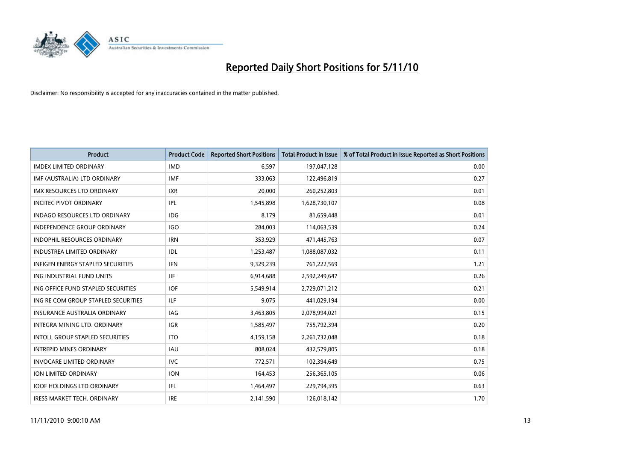

| <b>Product</b>                         | <b>Product Code</b> | <b>Reported Short Positions</b> | Total Product in Issue | % of Total Product in Issue Reported as Short Positions |
|----------------------------------------|---------------------|---------------------------------|------------------------|---------------------------------------------------------|
| <b>IMDEX LIMITED ORDINARY</b>          | <b>IMD</b>          | 6,597                           | 197,047,128            | 0.00                                                    |
| IMF (AUSTRALIA) LTD ORDINARY           | <b>IMF</b>          | 333,063                         | 122,496,819            | 0.27                                                    |
| <b>IMX RESOURCES LTD ORDINARY</b>      | <b>IXR</b>          | 20,000                          | 260,252,803            | 0.01                                                    |
| <b>INCITEC PIVOT ORDINARY</b>          | IPL                 | 1,545,898                       | 1,628,730,107          | 0.08                                                    |
| <b>INDAGO RESOURCES LTD ORDINARY</b>   | IDG                 | 8,179                           | 81,659,448             | 0.01                                                    |
| <b>INDEPENDENCE GROUP ORDINARY</b>     | <b>IGO</b>          | 284,003                         | 114,063,539            | 0.24                                                    |
| <b>INDOPHIL RESOURCES ORDINARY</b>     | <b>IRN</b>          | 353,929                         | 471,445,763            | 0.07                                                    |
| <b>INDUSTREA LIMITED ORDINARY</b>      | IDL                 | 1,253,487                       | 1,088,087,032          | 0.11                                                    |
| INFIGEN ENERGY STAPLED SECURITIES      | <b>IFN</b>          | 9,329,239                       | 761,222,569            | 1.21                                                    |
| ING INDUSTRIAL FUND UNITS              | <b>IIF</b>          | 6,914,688                       | 2,592,249,647          | 0.26                                                    |
| ING OFFICE FUND STAPLED SECURITIES     | <b>IOF</b>          | 5,549,914                       | 2,729,071,212          | 0.21                                                    |
| ING RE COM GROUP STAPLED SECURITIES    | <b>ILF</b>          | 9.075                           | 441,029,194            | 0.00                                                    |
| INSURANCE AUSTRALIA ORDINARY           | IAG                 | 3,463,805                       | 2,078,994,021          | 0.15                                                    |
| <b>INTEGRA MINING LTD, ORDINARY</b>    | <b>IGR</b>          | 1,585,497                       | 755,792,394            | 0.20                                                    |
| <b>INTOLL GROUP STAPLED SECURITIES</b> | <b>ITO</b>          | 4,159,158                       | 2,261,732,048          | 0.18                                                    |
| <b>INTREPID MINES ORDINARY</b>         | <b>IAU</b>          | 808,024                         | 432,579,805            | 0.18                                                    |
| <b>INVOCARE LIMITED ORDINARY</b>       | <b>IVC</b>          | 772,571                         | 102,394,649            | 0.75                                                    |
| ION LIMITED ORDINARY                   | <b>ION</b>          | 164,453                         | 256,365,105            | 0.06                                                    |
| <b>IOOF HOLDINGS LTD ORDINARY</b>      | IFL.                | 1,464,497                       | 229,794,395            | 0.63                                                    |
| IRESS MARKET TECH. ORDINARY            | <b>IRE</b>          | 2,141,590                       | 126,018,142            | 1.70                                                    |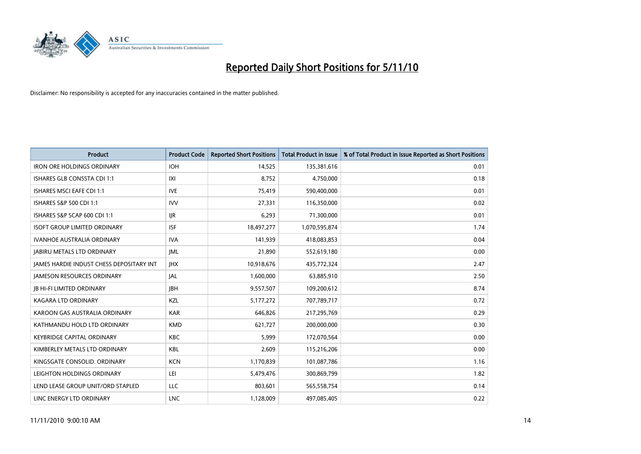

| <b>Product</b>                           | <b>Product Code</b> | <b>Reported Short Positions</b> | Total Product in Issue | % of Total Product in Issue Reported as Short Positions |
|------------------------------------------|---------------------|---------------------------------|------------------------|---------------------------------------------------------|
| <b>IRON ORE HOLDINGS ORDINARY</b>        | <b>IOH</b>          | 14,525                          | 135,381,616            | 0.01                                                    |
| ISHARES GLB CONSSTA CDI 1:1              | X                   | 8,752                           | 4,750,000              | 0.18                                                    |
| <b>ISHARES MSCI EAFE CDI 1:1</b>         | <b>IVE</b>          | 75,419                          | 590,400,000            | 0.01                                                    |
| ISHARES S&P 500 CDI 1:1                  | <b>IVV</b>          | 27,331                          | 116,350,000            | 0.02                                                    |
| ISHARES S&P SCAP 600 CDI 1:1             | <b>IJR</b>          | 6,293                           | 71,300,000             | 0.01                                                    |
| <b>ISOFT GROUP LIMITED ORDINARY</b>      | <b>ISF</b>          | 18,497,277                      | 1,070,595,874          | 1.74                                                    |
| <b>IVANHOE AUSTRALIA ORDINARY</b>        | <b>IVA</b>          | 141,939                         | 418,083,853            | 0.04                                                    |
| <b>JABIRU METALS LTD ORDINARY</b>        | <b>JML</b>          | 21,890                          | 552,619,180            | 0.00                                                    |
| JAMES HARDIE INDUST CHESS DEPOSITARY INT | <b>IHX</b>          | 10,918,676                      | 435,772,324            | 2.47                                                    |
| <b>JAMESON RESOURCES ORDINARY</b>        | <b>JAL</b>          | 1,600,000                       | 63,885,910             | 2.50                                                    |
| <b>JB HI-FI LIMITED ORDINARY</b>         | <b>JBH</b>          | 9,557,507                       | 109,200,612            | 8.74                                                    |
| KAGARA LTD ORDINARY                      | KZL                 | 5,177,272                       | 707,789,717            | 0.72                                                    |
| KAROON GAS AUSTRALIA ORDINARY            | <b>KAR</b>          | 646,826                         | 217,295,769            | 0.29                                                    |
| KATHMANDU HOLD LTD ORDINARY              | <b>KMD</b>          | 621,727                         | 200,000,000            | 0.30                                                    |
| <b>KEYBRIDGE CAPITAL ORDINARY</b>        | <b>KBC</b>          | 5,999                           | 172,070,564            | 0.00                                                    |
| KIMBERLEY METALS LTD ORDINARY            | <b>KBL</b>          | 2,609                           | 115,216,206            | 0.00                                                    |
| KINGSGATE CONSOLID, ORDINARY             | <b>KCN</b>          | 1,170,839                       | 101,087,786            | 1.16                                                    |
| LEIGHTON HOLDINGS ORDINARY               | LEI                 | 5,479,476                       | 300,869,799            | 1.82                                                    |
| LEND LEASE GROUP UNIT/ORD STAPLED        | <b>LLC</b>          | 803,601                         | 565,558,754            | 0.14                                                    |
| LINC ENERGY LTD ORDINARY                 | <b>LNC</b>          | 1,128,009                       | 497,085,405            | 0.22                                                    |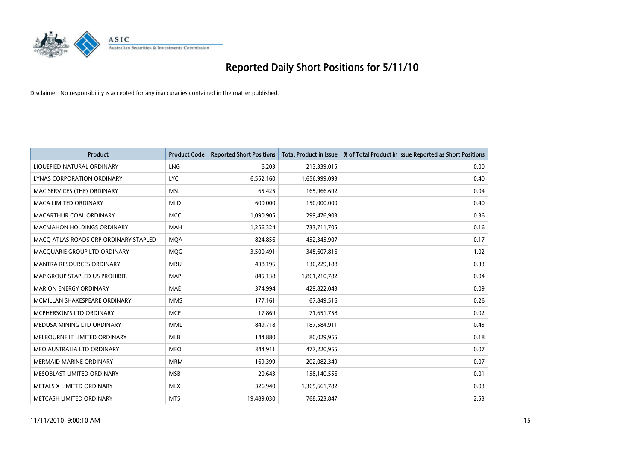

| <b>Product</b>                        | <b>Product Code</b> | <b>Reported Short Positions</b> | Total Product in Issue | % of Total Product in Issue Reported as Short Positions |
|---------------------------------------|---------------------|---------------------------------|------------------------|---------------------------------------------------------|
| LIQUEFIED NATURAL ORDINARY            | LNG                 | 6,203                           | 213,339,015            | 0.00                                                    |
| LYNAS CORPORATION ORDINARY            | <b>LYC</b>          | 6,552,160                       | 1,656,999,093          | 0.40                                                    |
| MAC SERVICES (THE) ORDINARY           | <b>MSL</b>          | 65,425                          | 165,966,692            | 0.04                                                    |
| MACA LIMITED ORDINARY                 | <b>MLD</b>          | 600,000                         | 150,000,000            | 0.40                                                    |
| MACARTHUR COAL ORDINARY               | <b>MCC</b>          | 1,090,905                       | 299,476,903            | 0.36                                                    |
| <b>MACMAHON HOLDINGS ORDINARY</b>     | <b>MAH</b>          | 1,256,324                       | 733,711,705            | 0.16                                                    |
| MACO ATLAS ROADS GRP ORDINARY STAPLED | <b>MOA</b>          | 824,856                         | 452,345,907            | 0.17                                                    |
| MACQUARIE GROUP LTD ORDINARY          | <b>MOG</b>          | 3,500,491                       | 345,607,816            | 1.02                                                    |
| <b>MANTRA RESOURCES ORDINARY</b>      | <b>MRU</b>          | 438,196                         | 130,229,188            | 0.33                                                    |
| MAP GROUP STAPLED US PROHIBIT.        | <b>MAP</b>          | 845,138                         | 1,861,210,782          | 0.04                                                    |
| <b>MARION ENERGY ORDINARY</b>         | <b>MAE</b>          | 374,994                         | 429,822,043            | 0.09                                                    |
| MCMILLAN SHAKESPEARE ORDINARY         | <b>MMS</b>          | 177,161                         | 67,849,516             | 0.26                                                    |
| MCPHERSON'S LTD ORDINARY              | <b>MCP</b>          | 17,869                          | 71,651,758             | 0.02                                                    |
| MEDUSA MINING LTD ORDINARY            | <b>MML</b>          | 849,718                         | 187,584,911            | 0.45                                                    |
| MELBOURNE IT LIMITED ORDINARY         | <b>MLB</b>          | 144,880                         | 80,029,955             | 0.18                                                    |
| MEO AUSTRALIA LTD ORDINARY            | <b>MEO</b>          | 344,911                         | 477,220,955            | 0.07                                                    |
| MERMAID MARINE ORDINARY               | <b>MRM</b>          | 169,399                         | 202,082,349            | 0.07                                                    |
| MESOBLAST LIMITED ORDINARY            | <b>MSB</b>          | 20,643                          | 158,140,556            | 0.01                                                    |
| METALS X LIMITED ORDINARY             | <b>MLX</b>          | 326,940                         | 1,365,661,782          | 0.03                                                    |
| METCASH LIMITED ORDINARY              | <b>MTS</b>          | 19,489,030                      | 768,523,847            | 2.53                                                    |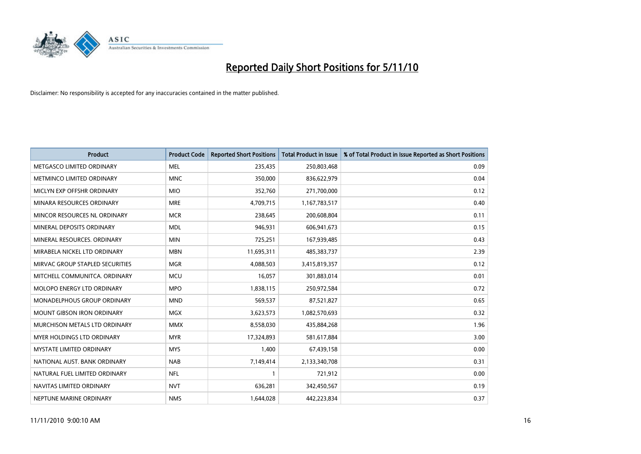

| <b>Product</b>                     | <b>Product Code</b> | <b>Reported Short Positions</b> | <b>Total Product in Issue</b> | % of Total Product in Issue Reported as Short Positions |
|------------------------------------|---------------------|---------------------------------|-------------------------------|---------------------------------------------------------|
| METGASCO LIMITED ORDINARY          | <b>MEL</b>          | 235,435                         | 250,803,468                   | 0.09                                                    |
| METMINCO LIMITED ORDINARY          | <b>MNC</b>          | 350,000                         | 836,622,979                   | 0.04                                                    |
| MICLYN EXP OFFSHR ORDINARY         | <b>MIO</b>          | 352,760                         | 271,700,000                   | 0.12                                                    |
| MINARA RESOURCES ORDINARY          | <b>MRE</b>          | 4,709,715                       | 1,167,783,517                 | 0.40                                                    |
| MINCOR RESOURCES NL ORDINARY       | <b>MCR</b>          | 238,645                         | 200,608,804                   | 0.11                                                    |
| MINERAL DEPOSITS ORDINARY          | <b>MDL</b>          | 946,931                         | 606,941,673                   | 0.15                                                    |
| MINERAL RESOURCES. ORDINARY        | <b>MIN</b>          | 725,251                         | 167,939,485                   | 0.43                                                    |
| MIRABELA NICKEL LTD ORDINARY       | <b>MBN</b>          | 11,695,311                      | 485,383,737                   | 2.39                                                    |
| MIRVAC GROUP STAPLED SECURITIES    | <b>MGR</b>          | 4,088,503                       | 3,415,819,357                 | 0.12                                                    |
| MITCHELL COMMUNITCA, ORDINARY      | <b>MCU</b>          | 16,057                          | 301,883,014                   | 0.01                                                    |
| MOLOPO ENERGY LTD ORDINARY         | <b>MPO</b>          | 1,838,115                       | 250,972,584                   | 0.72                                                    |
| <b>MONADELPHOUS GROUP ORDINARY</b> | <b>MND</b>          | 569,537                         | 87,521,827                    | 0.65                                                    |
| MOUNT GIBSON IRON ORDINARY         | <b>MGX</b>          | 3,623,573                       | 1,082,570,693                 | 0.32                                                    |
| MURCHISON METALS LTD ORDINARY      | <b>MMX</b>          | 8,558,030                       | 435,884,268                   | 1.96                                                    |
| MYER HOLDINGS LTD ORDINARY         | <b>MYR</b>          | 17,324,893                      | 581,617,884                   | 3.00                                                    |
| <b>MYSTATE LIMITED ORDINARY</b>    | <b>MYS</b>          | 1,400                           | 67,439,158                    | 0.00                                                    |
| NATIONAL AUST. BANK ORDINARY       | <b>NAB</b>          | 7,149,414                       | 2,133,340,708                 | 0.31                                                    |
| NATURAL FUEL LIMITED ORDINARY      | <b>NFL</b>          |                                 | 721,912                       | 0.00                                                    |
| NAVITAS LIMITED ORDINARY           | <b>NVT</b>          | 636,281                         | 342,450,567                   | 0.19                                                    |
| NEPTUNE MARINE ORDINARY            | <b>NMS</b>          | 1,644,028                       | 442,223,834                   | 0.37                                                    |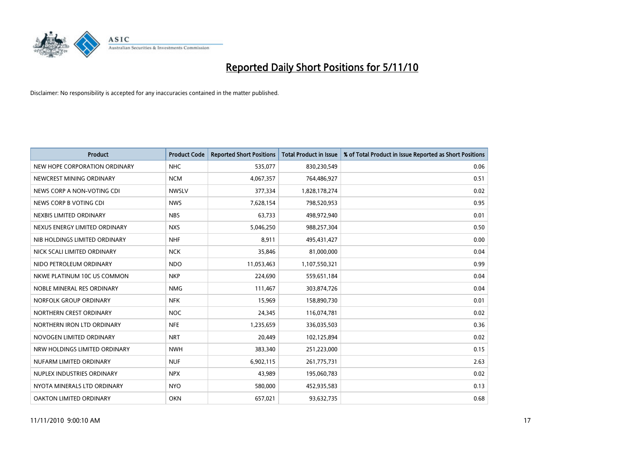

| <b>Product</b>                | <b>Product Code</b> | <b>Reported Short Positions</b> | <b>Total Product in Issue</b> | % of Total Product in Issue Reported as Short Positions |
|-------------------------------|---------------------|---------------------------------|-------------------------------|---------------------------------------------------------|
| NEW HOPE CORPORATION ORDINARY | <b>NHC</b>          | 535,077                         | 830,230,549                   | 0.06                                                    |
| NEWCREST MINING ORDINARY      | <b>NCM</b>          | 4,067,357                       | 764,486,927                   | 0.51                                                    |
| NEWS CORP A NON-VOTING CDI    | <b>NWSLV</b>        | 377,334                         | 1,828,178,274                 | 0.02                                                    |
| NEWS CORP B VOTING CDI        | <b>NWS</b>          | 7,628,154                       | 798,520,953                   | 0.95                                                    |
| NEXBIS LIMITED ORDINARY       | <b>NBS</b>          | 63,733                          | 498,972,940                   | 0.01                                                    |
| NEXUS ENERGY LIMITED ORDINARY | <b>NXS</b>          | 5,046,250                       | 988,257,304                   | 0.50                                                    |
| NIB HOLDINGS LIMITED ORDINARY | <b>NHF</b>          | 8.911                           | 495,431,427                   | 0.00                                                    |
| NICK SCALI LIMITED ORDINARY   | <b>NCK</b>          | 35,846                          | 81,000,000                    | 0.04                                                    |
| NIDO PETROLEUM ORDINARY       | <b>NDO</b>          | 11,053,463                      | 1,107,550,321                 | 0.99                                                    |
| NKWE PLATINUM 10C US COMMON   | <b>NKP</b>          | 224,690                         | 559,651,184                   | 0.04                                                    |
| NOBLE MINERAL RES ORDINARY    | <b>NMG</b>          | 111,467                         | 303,874,726                   | 0.04                                                    |
| NORFOLK GROUP ORDINARY        | <b>NFK</b>          | 15,969                          | 158,890,730                   | 0.01                                                    |
| NORTHERN CREST ORDINARY       | <b>NOC</b>          | 24,345                          | 116,074,781                   | 0.02                                                    |
| NORTHERN IRON LTD ORDINARY    | <b>NFE</b>          | 1,235,659                       | 336,035,503                   | 0.36                                                    |
| NOVOGEN LIMITED ORDINARY      | <b>NRT</b>          | 20,449                          | 102,125,894                   | 0.02                                                    |
| NRW HOLDINGS LIMITED ORDINARY | <b>NWH</b>          | 383,340                         | 251,223,000                   | 0.15                                                    |
| NUFARM LIMITED ORDINARY       | <b>NUF</b>          | 6,902,115                       | 261,775,731                   | 2.63                                                    |
| NUPLEX INDUSTRIES ORDINARY    | <b>NPX</b>          | 43,989                          | 195,060,783                   | 0.02                                                    |
| NYOTA MINERALS LTD ORDINARY   | <b>NYO</b>          | 580,000                         | 452,935,583                   | 0.13                                                    |
| OAKTON LIMITED ORDINARY       | <b>OKN</b>          | 657,021                         | 93,632,735                    | 0.68                                                    |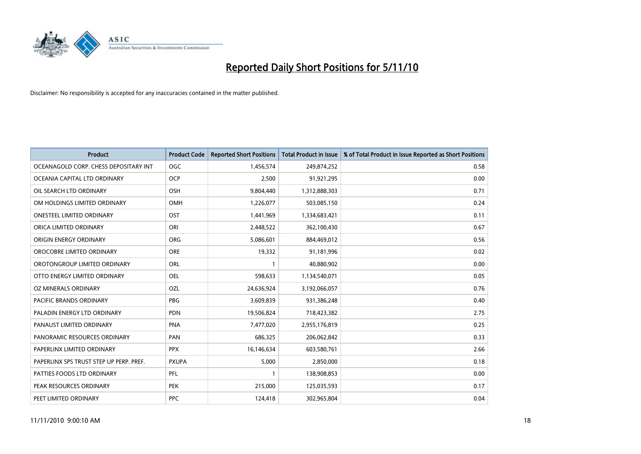

| <b>Product</b>                          | <b>Product Code</b> | <b>Reported Short Positions</b> | <b>Total Product in Issue</b> | % of Total Product in Issue Reported as Short Positions |
|-----------------------------------------|---------------------|---------------------------------|-------------------------------|---------------------------------------------------------|
| OCEANAGOLD CORP. CHESS DEPOSITARY INT   | <b>OGC</b>          | 1,456,574                       | 249,874,252                   | 0.58                                                    |
| OCEANIA CAPITAL LTD ORDINARY            | <b>OCP</b>          | 2,500                           | 91,921,295                    | 0.00                                                    |
| OIL SEARCH LTD ORDINARY                 | OSH                 | 9,804,440                       | 1,312,888,303                 | 0.71                                                    |
| OM HOLDINGS LIMITED ORDINARY            | <b>OMH</b>          | 1,226,077                       | 503,085,150                   | 0.24                                                    |
| <b>ONESTEEL LIMITED ORDINARY</b>        | OST                 | 1,441,969                       | 1,334,683,421                 | 0.11                                                    |
| ORICA LIMITED ORDINARY                  | ORI                 | 2,448,522                       | 362,100,430                   | 0.67                                                    |
| ORIGIN ENERGY ORDINARY                  | <b>ORG</b>          | 5,086,601                       | 884,469,012                   | 0.56                                                    |
| OROCOBRE LIMITED ORDINARY               | <b>ORE</b>          | 19,332                          | 91,181,996                    | 0.02                                                    |
| OROTONGROUP LIMITED ORDINARY            | ORL                 |                                 | 40,880,902                    | 0.00                                                    |
| OTTO ENERGY LIMITED ORDINARY            | <b>OEL</b>          | 598,633                         | 1,134,540,071                 | 0.05                                                    |
| OZ MINERALS ORDINARY                    | OZL                 | 24,636,924                      | 3,192,066,057                 | 0.76                                                    |
| <b>PACIFIC BRANDS ORDINARY</b>          | <b>PBG</b>          | 3,609,839                       | 931,386,248                   | 0.40                                                    |
| PALADIN ENERGY LTD ORDINARY             | <b>PDN</b>          | 19,506,824                      | 718,423,382                   | 2.75                                                    |
| PANAUST LIMITED ORDINARY                | <b>PNA</b>          | 7,477,020                       | 2,955,176,819                 | 0.25                                                    |
| PANORAMIC RESOURCES ORDINARY            | PAN                 | 686,325                         | 206,062,842                   | 0.33                                                    |
| PAPERLINX LIMITED ORDINARY              | <b>PPX</b>          | 16,146,634                      | 603,580,761                   | 2.66                                                    |
| PAPERLINX SPS TRUST STEP UP PERP. PREF. | <b>PXUPA</b>        | 5,000                           | 2,850,000                     | 0.18                                                    |
| PATTIES FOODS LTD ORDINARY              | PFL                 |                                 | 138,908,853                   | 0.00                                                    |
| PEAK RESOURCES ORDINARY                 | <b>PEK</b>          | 215,000                         | 125,035,593                   | 0.17                                                    |
| PEET LIMITED ORDINARY                   | <b>PPC</b>          | 124,418                         | 302,965,804                   | 0.04                                                    |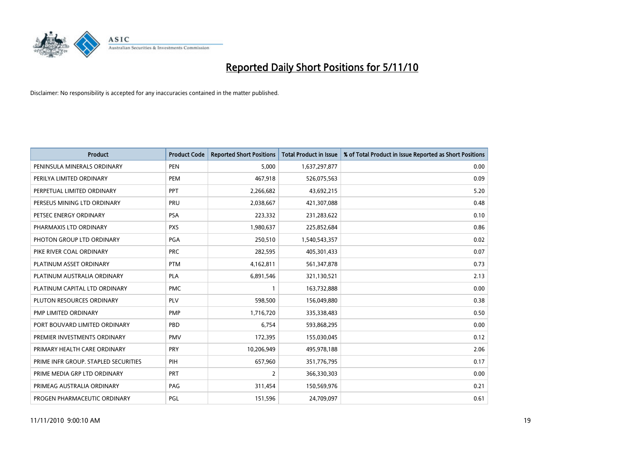

| <b>Product</b>                       | <b>Product Code</b> | <b>Reported Short Positions</b> | Total Product in Issue | % of Total Product in Issue Reported as Short Positions |
|--------------------------------------|---------------------|---------------------------------|------------------------|---------------------------------------------------------|
| PENINSULA MINERALS ORDINARY          | <b>PEN</b>          | 5,000                           | 1,637,297,877          | 0.00                                                    |
| PERILYA LIMITED ORDINARY             | PEM                 | 467,918                         | 526,075,563            | 0.09                                                    |
| PERPETUAL LIMITED ORDINARY           | PPT                 | 2,266,682                       | 43,692,215             | 5.20                                                    |
| PERSEUS MINING LTD ORDINARY          | PRU                 | 2,038,667                       | 421,307,088            | 0.48                                                    |
| PETSEC ENERGY ORDINARY               | <b>PSA</b>          | 223,332                         | 231,283,622            | 0.10                                                    |
| PHARMAXIS LTD ORDINARY               | <b>PXS</b>          | 1,980,637                       | 225,852,684            | 0.86                                                    |
| PHOTON GROUP LTD ORDINARY            | <b>PGA</b>          | 250,510                         | 1,540,543,357          | 0.02                                                    |
| PIKE RIVER COAL ORDINARY             | <b>PRC</b>          | 282,595                         | 405,301,433            | 0.07                                                    |
| PLATINUM ASSET ORDINARY              | <b>PTM</b>          | 4,162,811                       | 561,347,878            | 0.73                                                    |
| PLATINUM AUSTRALIA ORDINARY          | <b>PLA</b>          | 6,891,546                       | 321,130,521            | 2.13                                                    |
| PLATINUM CAPITAL LTD ORDINARY        | <b>PMC</b>          |                                 | 163,732,888            | 0.00                                                    |
| PLUTON RESOURCES ORDINARY            | PLV                 | 598,500                         | 156,049,880            | 0.38                                                    |
| PMP LIMITED ORDINARY                 | <b>PMP</b>          | 1,716,720                       | 335,338,483            | 0.50                                                    |
| PORT BOUVARD LIMITED ORDINARY        | PBD                 | 6,754                           | 593,868,295            | 0.00                                                    |
| PREMIER INVESTMENTS ORDINARY         | <b>PMV</b>          | 172,395                         | 155,030,045            | 0.12                                                    |
| PRIMARY HEALTH CARE ORDINARY         | <b>PRY</b>          | 10,206,949                      | 495,978,188            | 2.06                                                    |
| PRIME INFR GROUP. STAPLED SECURITIES | PIH                 | 657,960                         | 351,776,795            | 0.17                                                    |
| PRIME MEDIA GRP LTD ORDINARY         | PRT                 | $\overline{2}$                  | 366,330,303            | 0.00                                                    |
| PRIMEAG AUSTRALIA ORDINARY           | PAG                 | 311,454                         | 150,569,976            | 0.21                                                    |
| PROGEN PHARMACEUTIC ORDINARY         | PGL                 | 151,596                         | 24,709,097             | 0.61                                                    |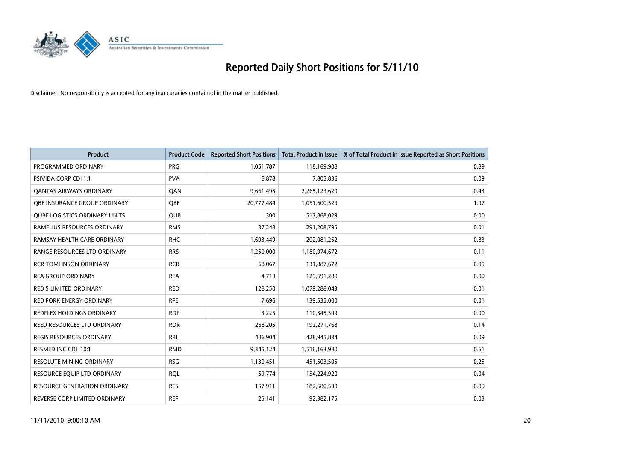

| <b>Product</b>                       | <b>Product Code</b> | <b>Reported Short Positions</b> | <b>Total Product in Issue</b> | % of Total Product in Issue Reported as Short Positions |
|--------------------------------------|---------------------|---------------------------------|-------------------------------|---------------------------------------------------------|
| PROGRAMMED ORDINARY                  | <b>PRG</b>          | 1,051,787                       | 118,169,908                   | 0.89                                                    |
| <b>PSIVIDA CORP CDI 1:1</b>          | <b>PVA</b>          | 6,878                           | 7,805,836                     | 0.09                                                    |
| <b>QANTAS AIRWAYS ORDINARY</b>       | QAN                 | 9,661,495                       | 2,265,123,620                 | 0.43                                                    |
| OBE INSURANCE GROUP ORDINARY         | <b>OBE</b>          | 20,777,484                      | 1,051,600,529                 | 1.97                                                    |
| <b>QUBE LOGISTICS ORDINARY UNITS</b> | <b>QUB</b>          | 300                             | 517,868,029                   | 0.00                                                    |
| RAMELIUS RESOURCES ORDINARY          | <b>RMS</b>          | 37,248                          | 291,208,795                   | 0.01                                                    |
| RAMSAY HEALTH CARE ORDINARY          | <b>RHC</b>          | 1,693,449                       | 202,081,252                   | 0.83                                                    |
| RANGE RESOURCES LTD ORDINARY         | <b>RRS</b>          | 1,250,000                       | 1,180,974,672                 | 0.11                                                    |
| <b>RCR TOMLINSON ORDINARY</b>        | <b>RCR</b>          | 68,067                          | 131,887,672                   | 0.05                                                    |
| <b>REA GROUP ORDINARY</b>            | <b>REA</b>          | 4,713                           | 129,691,280                   | 0.00                                                    |
| <b>RED 5 LIMITED ORDINARY</b>        | <b>RED</b>          | 128,250                         | 1,079,288,043                 | 0.01                                                    |
| <b>RED FORK ENERGY ORDINARY</b>      | <b>RFE</b>          | 7,696                           | 139,535,000                   | 0.01                                                    |
| REDFLEX HOLDINGS ORDINARY            | <b>RDF</b>          | 3,225                           | 110,345,599                   | 0.00                                                    |
| REED RESOURCES LTD ORDINARY          | <b>RDR</b>          | 268,205                         | 192,271,768                   | 0.14                                                    |
| <b>REGIS RESOURCES ORDINARY</b>      | <b>RRL</b>          | 486.904                         | 428,945,834                   | 0.09                                                    |
| RESMED INC CDI 10:1                  | <b>RMD</b>          | 9,345,124                       | 1,516,163,980                 | 0.61                                                    |
| RESOLUTE MINING ORDINARY             | <b>RSG</b>          | 1,130,451                       | 451,503,505                   | 0.25                                                    |
| RESOURCE EQUIP LTD ORDINARY          | <b>RQL</b>          | 59,774                          | 154,224,920                   | 0.04                                                    |
| <b>RESOURCE GENERATION ORDINARY</b>  | <b>RES</b>          | 157,911                         | 182,680,530                   | 0.09                                                    |
| REVERSE CORP LIMITED ORDINARY        | <b>REF</b>          | 25,141                          | 92,382,175                    | 0.03                                                    |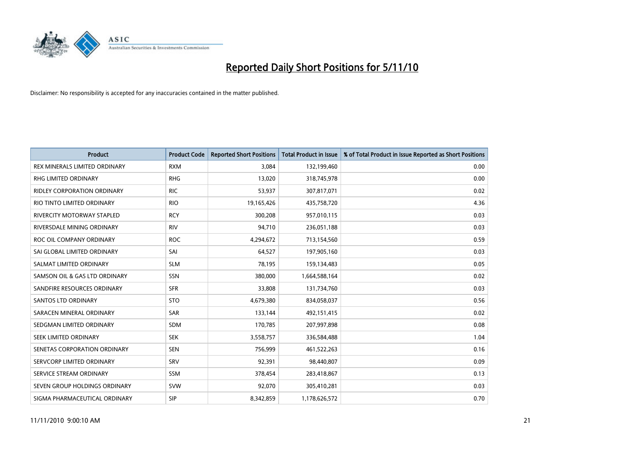

| <b>Product</b>                    | <b>Product Code</b> | <b>Reported Short Positions</b> | <b>Total Product in Issue</b> | % of Total Product in Issue Reported as Short Positions |
|-----------------------------------|---------------------|---------------------------------|-------------------------------|---------------------------------------------------------|
| REX MINERALS LIMITED ORDINARY     | <b>RXM</b>          | 3,084                           | 132,199,460                   | 0.00                                                    |
| RHG LIMITED ORDINARY              | <b>RHG</b>          | 13,020                          | 318,745,978                   | 0.00                                                    |
| RIDLEY CORPORATION ORDINARY       | <b>RIC</b>          | 53,937                          | 307,817,071                   | 0.02                                                    |
| RIO TINTO LIMITED ORDINARY        | <b>RIO</b>          | 19,165,426                      | 435,758,720                   | 4.36                                                    |
| <b>RIVERCITY MOTORWAY STAPLED</b> | <b>RCY</b>          | 300,208                         | 957,010,115                   | 0.03                                                    |
| RIVERSDALE MINING ORDINARY        | <b>RIV</b>          | 94,710                          | 236,051,188                   | 0.03                                                    |
| ROC OIL COMPANY ORDINARY          | <b>ROC</b>          | 4,294,672                       | 713,154,560                   | 0.59                                                    |
| SAI GLOBAL LIMITED ORDINARY       | SAI                 | 64,527                          | 197,905,160                   | 0.03                                                    |
| SALMAT LIMITED ORDINARY           | <b>SLM</b>          | 78,195                          | 159,134,483                   | 0.05                                                    |
| SAMSON OIL & GAS LTD ORDINARY     | SSN                 | 380,000                         | 1,664,588,164                 | 0.02                                                    |
| SANDFIRE RESOURCES ORDINARY       | <b>SFR</b>          | 33,808                          | 131,734,760                   | 0.03                                                    |
| <b>SANTOS LTD ORDINARY</b>        | <b>STO</b>          | 4,679,380                       | 834,058,037                   | 0.56                                                    |
| SARACEN MINERAL ORDINARY          | SAR                 | 133,144                         | 492,151,415                   | 0.02                                                    |
| SEDGMAN LIMITED ORDINARY          | <b>SDM</b>          | 170,785                         | 207,997,898                   | 0.08                                                    |
| SEEK LIMITED ORDINARY             | <b>SEK</b>          | 3,558,757                       | 336,584,488                   | 1.04                                                    |
| SENETAS CORPORATION ORDINARY      | <b>SEN</b>          | 756,999                         | 461,522,263                   | 0.16                                                    |
| SERVCORP LIMITED ORDINARY         | SRV                 | 92,391                          | 98,440,807                    | 0.09                                                    |
| SERVICE STREAM ORDINARY           | <b>SSM</b>          | 378,454                         | 283,418,867                   | 0.13                                                    |
| SEVEN GROUP HOLDINGS ORDINARY     | <b>SVW</b>          | 92,070                          | 305,410,281                   | 0.03                                                    |
| SIGMA PHARMACEUTICAL ORDINARY     | SIP                 | 8,342,859                       | 1,178,626,572                 | 0.70                                                    |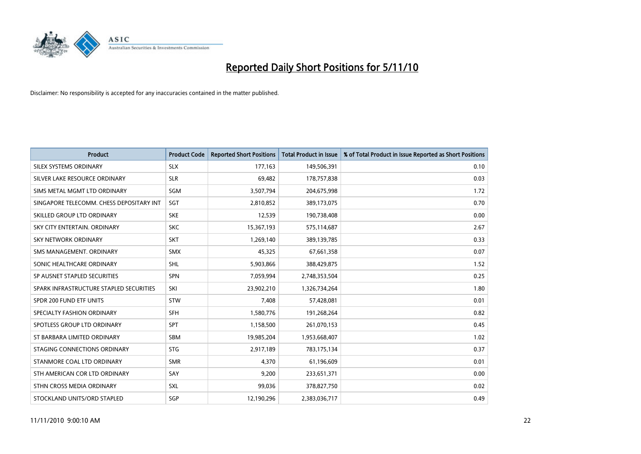

| <b>Product</b>                           | <b>Product Code</b> | <b>Reported Short Positions</b> | <b>Total Product in Issue</b> | % of Total Product in Issue Reported as Short Positions |
|------------------------------------------|---------------------|---------------------------------|-------------------------------|---------------------------------------------------------|
| SILEX SYSTEMS ORDINARY                   | <b>SLX</b>          | 177,163                         | 149,506,391                   | 0.10                                                    |
| SILVER LAKE RESOURCE ORDINARY            | <b>SLR</b>          | 69,482                          | 178,757,838                   | 0.03                                                    |
| SIMS METAL MGMT LTD ORDINARY             | SGM                 | 3,507,794                       | 204,675,998                   | 1.72                                                    |
| SINGAPORE TELECOMM. CHESS DEPOSITARY INT | SGT                 | 2,810,852                       | 389,173,075                   | 0.70                                                    |
| SKILLED GROUP LTD ORDINARY               | <b>SKE</b>          | 12,539                          | 190,738,408                   | 0.00                                                    |
| SKY CITY ENTERTAIN, ORDINARY             | <b>SKC</b>          | 15,367,193                      | 575,114,687                   | 2.67                                                    |
| SKY NETWORK ORDINARY                     | <b>SKT</b>          | 1,269,140                       | 389,139,785                   | 0.33                                                    |
| SMS MANAGEMENT, ORDINARY                 | <b>SMX</b>          | 45.325                          | 67,661,358                    | 0.07                                                    |
| SONIC HEALTHCARE ORDINARY                | <b>SHL</b>          | 5,903,866                       | 388,429,875                   | 1.52                                                    |
| SP AUSNET STAPLED SECURITIES             | <b>SPN</b>          | 7,059,994                       | 2,748,353,504                 | 0.25                                                    |
| SPARK INFRASTRUCTURE STAPLED SECURITIES  | SKI                 | 23,902,210                      | 1,326,734,264                 | 1.80                                                    |
| SPDR 200 FUND ETF UNITS                  | <b>STW</b>          | 7,408                           | 57,428,081                    | 0.01                                                    |
| SPECIALTY FASHION ORDINARY               | <b>SFH</b>          | 1,580,776                       | 191,268,264                   | 0.82                                                    |
| SPOTLESS GROUP LTD ORDINARY              | <b>SPT</b>          | 1,158,500                       | 261,070,153                   | 0.45                                                    |
| ST BARBARA LIMITED ORDINARY              | SBM                 | 19,985,204                      | 1,953,668,407                 | 1.02                                                    |
| STAGING CONNECTIONS ORDINARY             | <b>STG</b>          | 2,917,189                       | 783,175,134                   | 0.37                                                    |
| STANMORE COAL LTD ORDINARY               | <b>SMR</b>          | 4,370                           | 61,196,609                    | 0.01                                                    |
| STH AMERICAN COR LTD ORDINARY            | SAY                 | 9,200                           | 233,651,371                   | 0.00                                                    |
| STHN CROSS MEDIA ORDINARY                | <b>SXL</b>          | 99,036                          | 378,827,750                   | 0.02                                                    |
| STOCKLAND UNITS/ORD STAPLED              | SGP                 | 12,190,296                      | 2,383,036,717                 | 0.49                                                    |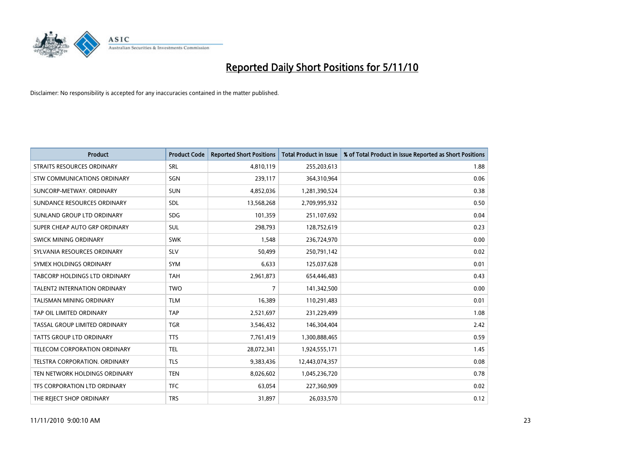

| <b>Product</b>                      | <b>Product Code</b> | <b>Reported Short Positions</b> | <b>Total Product in Issue</b> | % of Total Product in Issue Reported as Short Positions |
|-------------------------------------|---------------------|---------------------------------|-------------------------------|---------------------------------------------------------|
| <b>STRAITS RESOURCES ORDINARY</b>   | SRL                 | 4,810,119                       | 255,203,613                   | 1.88                                                    |
| STW COMMUNICATIONS ORDINARY         | SGN                 | 239,117                         | 364,310,964                   | 0.06                                                    |
| SUNCORP-METWAY, ORDINARY            | <b>SUN</b>          | 4,852,036                       | 1,281,390,524                 | 0.38                                                    |
| SUNDANCE RESOURCES ORDINARY         | <b>SDL</b>          | 13,568,268                      | 2,709,995,932                 | 0.50                                                    |
| SUNLAND GROUP LTD ORDINARY          | <b>SDG</b>          | 101,359                         | 251,107,692                   | 0.04                                                    |
| SUPER CHEAP AUTO GRP ORDINARY       | <b>SUL</b>          | 298,793                         | 128,752,619                   | 0.23                                                    |
| SWICK MINING ORDINARY               | <b>SWK</b>          | 1,548                           | 236,724,970                   | 0.00                                                    |
| SYLVANIA RESOURCES ORDINARY         | SLV                 | 50,499                          | 250,791,142                   | 0.02                                                    |
| SYMEX HOLDINGS ORDINARY             | <b>SYM</b>          | 6,633                           | 125,037,628                   | 0.01                                                    |
| TABCORP HOLDINGS LTD ORDINARY       | <b>TAH</b>          | 2,961,873                       | 654,446,483                   | 0.43                                                    |
| <b>TALENT2 INTERNATION ORDINARY</b> | <b>TWO</b>          | 7                               | 141,342,500                   | 0.00                                                    |
| <b>TALISMAN MINING ORDINARY</b>     | <b>TLM</b>          | 16,389                          | 110,291,483                   | 0.01                                                    |
| TAP OIL LIMITED ORDINARY            | TAP                 | 2,521,697                       | 231,229,499                   | 1.08                                                    |
| TASSAL GROUP LIMITED ORDINARY       | <b>TGR</b>          | 3,546,432                       | 146,304,404                   | 2.42                                                    |
| <b>TATTS GROUP LTD ORDINARY</b>     | <b>TTS</b>          | 7,761,419                       | 1,300,888,465                 | 0.59                                                    |
| TELECOM CORPORATION ORDINARY        | <b>TEL</b>          | 28,072,341                      | 1,924,555,171                 | 1.45                                                    |
| TELSTRA CORPORATION. ORDINARY       | <b>TLS</b>          | 9,383,436                       | 12,443,074,357                | 0.08                                                    |
| TEN NETWORK HOLDINGS ORDINARY       | <b>TEN</b>          | 8,026,602                       | 1,045,236,720                 | 0.78                                                    |
| TFS CORPORATION LTD ORDINARY        | <b>TFC</b>          | 63,054                          | 227,360,909                   | 0.02                                                    |
| THE REJECT SHOP ORDINARY            | <b>TRS</b>          | 31,897                          | 26,033,570                    | 0.12                                                    |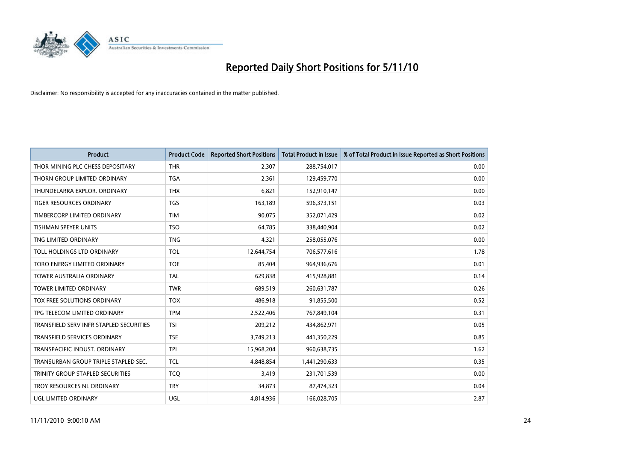

| <b>Product</b>                          | <b>Product Code</b> | <b>Reported Short Positions</b> | Total Product in Issue | % of Total Product in Issue Reported as Short Positions |
|-----------------------------------------|---------------------|---------------------------------|------------------------|---------------------------------------------------------|
| THOR MINING PLC CHESS DEPOSITARY        | <b>THR</b>          | 2,307                           | 288,754,017            | 0.00                                                    |
| THORN GROUP LIMITED ORDINARY            | <b>TGA</b>          | 2,361                           | 129,459,770            | 0.00                                                    |
| THUNDELARRA EXPLOR, ORDINARY            | <b>THX</b>          | 6.821                           | 152,910,147            | 0.00                                                    |
| TIGER RESOURCES ORDINARY                | <b>TGS</b>          | 163,189                         | 596,373,151            | 0.03                                                    |
| TIMBERCORP LIMITED ORDINARY             | <b>TIM</b>          | 90,075                          | 352,071,429            | 0.02                                                    |
| <b>TISHMAN SPEYER UNITS</b>             | <b>TSO</b>          | 64,785                          | 338,440,904            | 0.02                                                    |
| TNG LIMITED ORDINARY                    | <b>TNG</b>          | 4,321                           | 258,055,076            | 0.00                                                    |
| TOLL HOLDINGS LTD ORDINARY              | <b>TOL</b>          | 12,644,754                      | 706,577,616            | 1.78                                                    |
| TORO ENERGY LIMITED ORDINARY            | <b>TOE</b>          | 85,404                          | 964,936,676            | 0.01                                                    |
| <b>TOWER AUSTRALIA ORDINARY</b>         | <b>TAL</b>          | 629,838                         | 415,928,881            | 0.14                                                    |
| TOWER LIMITED ORDINARY                  | <b>TWR</b>          | 689,519                         | 260,631,787            | 0.26                                                    |
| TOX FREE SOLUTIONS ORDINARY             | <b>TOX</b>          | 486,918                         | 91,855,500             | 0.52                                                    |
| TPG TELECOM LIMITED ORDINARY            | <b>TPM</b>          | 2,522,406                       | 767,849,104            | 0.31                                                    |
| TRANSFIELD SERV INFR STAPLED SECURITIES | <b>TSI</b>          | 209,212                         | 434,862,971            | 0.05                                                    |
| <b>TRANSFIELD SERVICES ORDINARY</b>     | <b>TSE</b>          | 3,749,213                       | 441,350,229            | 0.85                                                    |
| TRANSPACIFIC INDUST. ORDINARY           | <b>TPI</b>          | 15,968,204                      | 960,638,735            | 1.62                                                    |
| TRANSURBAN GROUP TRIPLE STAPLED SEC.    | <b>TCL</b>          | 4,848,854                       | 1,441,290,633          | 0.35                                                    |
| TRINITY GROUP STAPLED SECURITIES        | <b>TCQ</b>          | 3,419                           | 231,701,539            | 0.00                                                    |
| TROY RESOURCES NL ORDINARY              | <b>TRY</b>          | 34,873                          | 87,474,323             | 0.04                                                    |
| UGL LIMITED ORDINARY                    | UGL                 | 4,814,936                       | 166,028,705            | 2.87                                                    |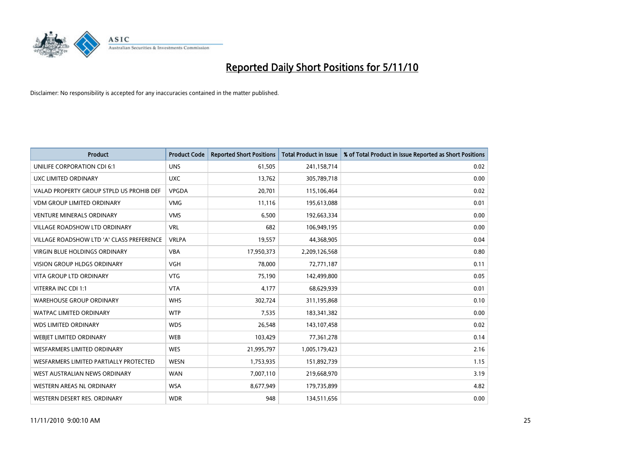

| <b>Product</b>                            | <b>Product Code</b> | <b>Reported Short Positions</b> | <b>Total Product in Issue</b> | % of Total Product in Issue Reported as Short Positions |
|-------------------------------------------|---------------------|---------------------------------|-------------------------------|---------------------------------------------------------|
| UNILIFE CORPORATION CDI 6:1               | <b>UNS</b>          | 61,505                          | 241,158,714                   | 0.02                                                    |
| UXC LIMITED ORDINARY                      | <b>UXC</b>          | 13,762                          | 305,789,718                   | 0.00                                                    |
| VALAD PROPERTY GROUP STPLD US PROHIB DEF  | <b>VPGDA</b>        | 20,701                          | 115,106,464                   | 0.02                                                    |
| <b>VDM GROUP LIMITED ORDINARY</b>         | <b>VMG</b>          | 11,116                          | 195,613,088                   | 0.01                                                    |
| <b>VENTURE MINERALS ORDINARY</b>          | <b>VMS</b>          | 6,500                           | 192,663,334                   | 0.00                                                    |
| <b>VILLAGE ROADSHOW LTD ORDINARY</b>      | <b>VRL</b>          | 682                             | 106,949,195                   | 0.00                                                    |
| VILLAGE ROADSHOW LTD 'A' CLASS PREFERENCE | <b>VRLPA</b>        | 19,557                          | 44,368,905                    | 0.04                                                    |
| <b>VIRGIN BLUE HOLDINGS ORDINARY</b>      | <b>VBA</b>          | 17,950,373                      | 2,209,126,568                 | 0.80                                                    |
| <b>VISION GROUP HLDGS ORDINARY</b>        | <b>VGH</b>          | 78,000                          | 72,771,187                    | 0.11                                                    |
| <b>VITA GROUP LTD ORDINARY</b>            | <b>VTG</b>          | 75,190                          | 142,499,800                   | 0.05                                                    |
| VITERRA INC CDI 1:1                       | <b>VTA</b>          | 4,177                           | 68,629,939                    | 0.01                                                    |
| <b>WAREHOUSE GROUP ORDINARY</b>           | <b>WHS</b>          | 302,724                         | 311,195,868                   | 0.10                                                    |
| <b>WATPAC LIMITED ORDINARY</b>            | <b>WTP</b>          | 7,535                           | 183,341,382                   | 0.00                                                    |
| <b>WDS LIMITED ORDINARY</b>               | <b>WDS</b>          | 26,548                          | 143,107,458                   | 0.02                                                    |
| WEBJET LIMITED ORDINARY                   | <b>WEB</b>          | 103,429                         | 77,361,278                    | 0.14                                                    |
| <b>WESFARMERS LIMITED ORDINARY</b>        | <b>WES</b>          | 21,995,797                      | 1,005,179,423                 | 2.16                                                    |
| WESFARMERS LIMITED PARTIALLY PROTECTED    | <b>WESN</b>         | 1,753,935                       | 151,892,739                   | 1.15                                                    |
| WEST AUSTRALIAN NEWS ORDINARY             | <b>WAN</b>          | 7,007,110                       | 219,668,970                   | 3.19                                                    |
| WESTERN AREAS NL ORDINARY                 | <b>WSA</b>          | 8,677,949                       | 179,735,899                   | 4.82                                                    |
| WESTERN DESERT RES. ORDINARY              | <b>WDR</b>          | 948                             | 134,511,656                   | 0.00                                                    |